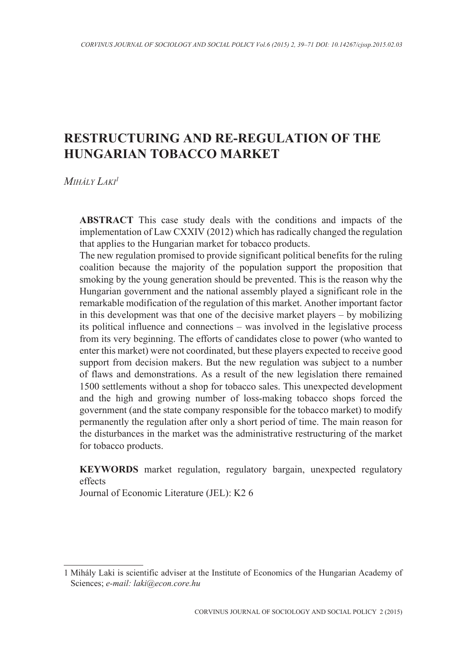# **RESTRUCTURING AND RE-REGULATION OF THE HUNGARIAN TOBACCO MARKET**

*Mihály Laki1*

**ABSTRACT** This case study deals with the conditions and impacts of the implementation of Law CXXIV (2012) which has radically changed the regulation that applies to the Hungarian market for tobacco products.

The new regulation promised to provide significant political benefits for the ruling coalition because the majority of the population support the proposition that smoking by the young generation should be prevented. This is the reason why the Hungarian government and the national assembly played a significant role in the remarkable modification of the regulation of this market. Another important factor in this development was that one of the decisive market players – by mobilizing its political influence and connections – was involved in the legislative process from its very beginning. The efforts of candidates close to power (who wanted to enter this market) were not coordinated, but these players expected to receive good support from decision makers. But the new regulation was subject to a number of flaws and demonstrations. As a result of the new legislation there remained 1500 settlements without a shop for tobacco sales. This unexpected development and the high and growing number of loss-making tobacco shops forced the government (and the state company responsible for the tobacco market) to modify permanently the regulation after only a short period of time. The main reason for the disturbances in the market was the administrative restructuring of the market for tobacco products.

**KEYWORDS** market regulation, regulatory bargain, unexpected regulatory effects

Journal of Economic Literature (JEL): K2 6

<sup>1</sup> Mihály Laki is scientific adviser at the Institute of Economics of the Hungarian Academy of Sciences; *e-mail: laki@econ.core.hu*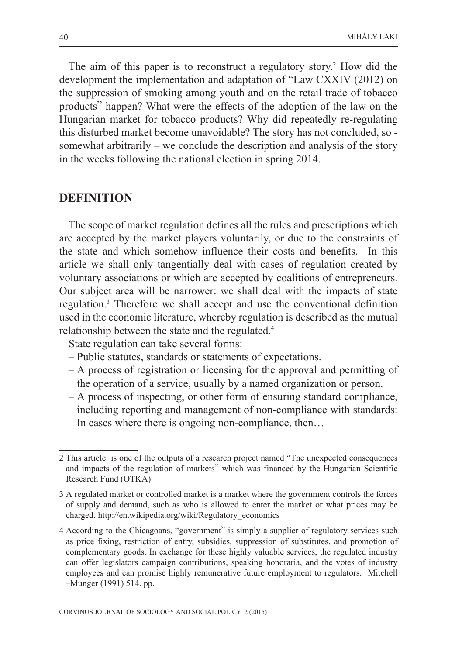The aim of this paper is to reconstruct a regulatory story.<sup>2</sup> How did the development the implementation and adaptation of "Law CXXIV (2012) on the suppression of smoking among youth and on the retail trade of tobacco products" happen? What were the effects of the adoption of the law on the Hungarian market for tobacco products? Why did repeatedly re-regulating this disturbed market become unavoidable? The story has not concluded, so somewhat arbitrarily – we conclude the description and analysis of the story in the weeks following the national election in spring 2014.

### **DEFINITION**

The scope of market regulation defines all the rules and prescriptions which are accepted by the market players voluntarily, or due to the constraints of the state and which somehow influence their costs and benefits. In this article we shall only tangentially deal with cases of regulation created by voluntary associations or which are accepted by coalitions of entrepreneurs. Our subject area will be narrower: we shall deal with the impacts of state regulation.3 Therefore we shall accept and use the conventional definition used in the economic literature, whereby regulation is described as the mutual relationship between the state and the regulated.4

State regulation can take several forms:

- Public statutes, standards or statements of expectations.
- A process of registration or licensing for the approval and permitting of the operation of a service, usually by a named organization or person.
- A process of inspecting, or other form of ensuring standard compliance, including reporting and management of non-compliance with standards: In cases where there is ongoing non-compliance, then...

<sup>2</sup> This article is one of the outputs of a research project named "The unexpected consequences and impacts of the regulation of markets" which was financed by the Hungarian Scientific Research Fund (OTKA)

<sup>3</sup> A regulated market or controlled market is a market where the government controls the forces of supply and demand, such as who is allowed to enter the market or what prices may be charged. http://en.wikipedia.org/wiki/Regulatory\_economics

<sup>4</sup> According to the Chicagoans, "government" is simply a supplier of regulatory services such as price fixing, restriction of entry, subsidies, suppression of substitutes, and promotion of complementary goods. In exchange for these highly valuable services, the regulated industry can offer legislators campaign contributions, speaking honoraria, and the votes of industry employees and can promise highly remunerative future employment to regulators. Mitchell –Munger (1991) 514. pp.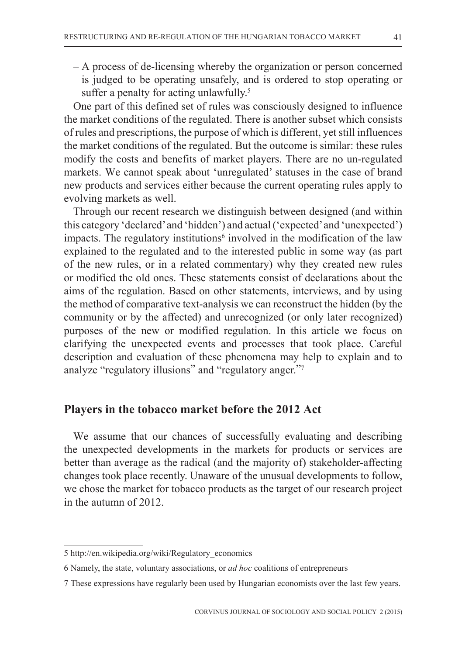– A process of de-licensing whereby the organization or person concerned is judged to be operating unsafely, and is ordered to stop operating or suffer a penalty for acting unlawfully.<sup>5</sup>

One part of this defined set of rules was consciously designed to influence the market conditions of the regulated. There is another subset which consists of rules and prescriptions, the purpose of which is different, yet still influences the market conditions of the regulated. But the outcome is similar: these rules modify the costs and benefits of market players. There are no un-regulated markets. We cannot speak about 'unregulated' statuses in the case of brand new products and services either because the current operating rules apply to evolving markets as well.

Through our recent research we distinguish between designed (and within this category 'declared' and 'hidden') and actual ('expected' and 'unexpected') impacts. The regulatory institutions<sup>6</sup> involved in the modification of the law explained to the regulated and to the interested public in some way (as part of the new rules, or in a related commentary) why they created new rules or modified the old ones. These statements consist of declarations about the aims of the regulation. Based on other statements, interviews, and by using the method of comparative text-analysis we can reconstruct the hidden (by the community or by the affected) and unrecognized (or only later recognized) purposes of the new or modified regulation. In this article we focus on clarifying the unexpected events and processes that took place. Careful description and evaluation of these phenomena may help to explain and to analyze "regulatory illusions" and "regulatory anger."7

### **Players in the tobacco market before the 2012 Act**

We assume that our chances of successfully evaluating and describing the unexpected developments in the markets for products or services are better than average as the radical (and the majority of) stakeholder-affecting changes took place recently. Unaware of the unusual developments to follow, we chose the market for tobacco products as the target of our research project in the autumn of 2012.

<sup>5</sup> http://en.wikipedia.org/wiki/Regulatory\_economics

<sup>6</sup> Namely, the state, voluntary associations, or *ad hoc* coalitions of entrepreneurs

<sup>7</sup> These expressions have regularly been used by Hungarian economists over the last few years.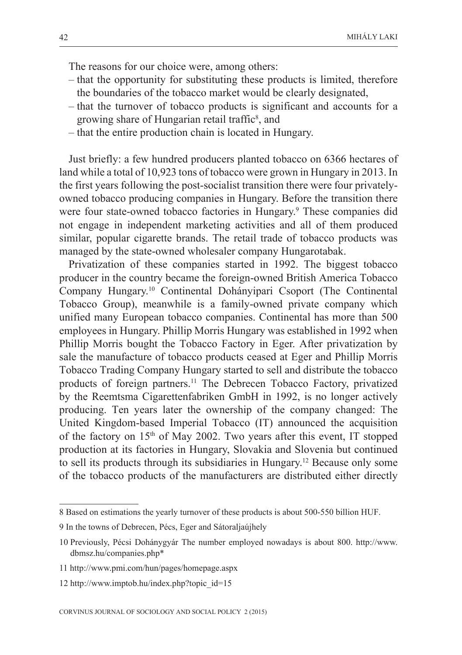The reasons for our choice were, among others:

- that the opportunity for substituting these products is limited, therefore the boundaries of the tobacco market would be clearly designated,
- that the turnover of tobacco products is significant and accounts for a growing share of Hungarian retail traffic<sup>8</sup>, and
- that the entire production chain is located in Hungary.

Just briefly: a few hundred producers planted tobacco on 6366 hectares of land while a total of 10,923 tons of tobacco were grown in Hungary in 2013. In the first years following the post-socialist transition there were four privatelyowned tobacco producing companies in Hungary. Before the transition there were four state-owned tobacco factories in Hungary.<sup>9</sup> These companies did not engage in independent marketing activities and all of them produced similar, popular cigarette brands. The retail trade of tobacco products was managed by the state-owned wholesaler company Hungarotabak.

Privatization of these companies started in 1992. The biggest tobacco producer in the country became the foreign-owned British America Tobacco Company Hungary.10 Continental Dohányipari Csoport (The Continental Tobacco Group), meanwhile is a family-owned private company which unified many European tobacco companies. Continental has more than 500 employees in Hungary. Phillip Morris Hungary was established in 1992 when Phillip Morris bought the Tobacco Factory in Eger. After privatization by sale the manufacture of tobacco products ceased at Eger and Phillip Morris Tobacco Trading Company Hungary started to sell and distribute the tobacco products of foreign partners.<sup>11</sup> The Debrecen Tobacco Factory, privatized by the Reemtsma Cigarettenfabriken GmbH in 1992, is no longer actively producing. Ten years later the ownership of the company changed: The United Kingdom-based Imperial Tobacco (IT) announced the acquisition of the factory on  $15<sup>th</sup>$  of May 2002. Two years after this event, IT stopped production at its factories in Hungary, Slovakia and Slovenia but continued to sell its products through its subsidiaries in Hungary.12 Because only some of the tobacco products of the manufacturers are distributed either directly

<sup>8</sup> Based on estimations the yearly turnover of these products is about 500-550 billion HUF.

<sup>9</sup> In the towns of Debrecen, Pécs, Eger and Sátoraljaújhely

<sup>10</sup> Previously, Pécsi Dohánygyár The number employed nowadays is about 800. http://www. dbmsz.hu/companies.php\*

<sup>11</sup> http://www.pmi.com/hun/pages/homepage.aspx

<sup>12</sup> http://www.imptob.hu/index.php?topic\_id=15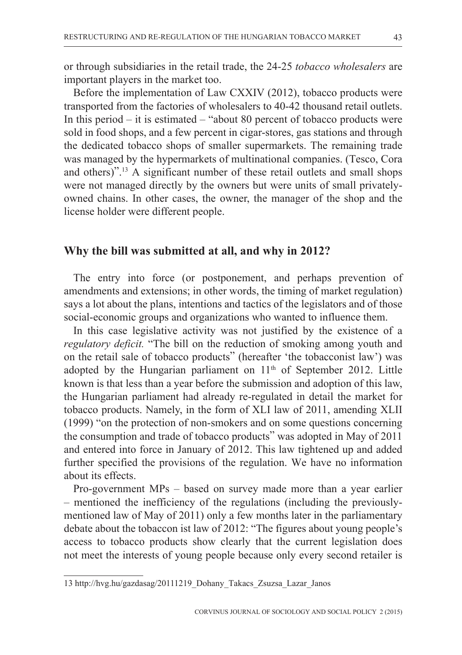or through subsidiaries in the retail trade, the 24-25 *tobacco wholesalers* are important players in the market too.

Before the implementation of Law CXXIV (2012), tobacco products were transported from the factories of wholesalers to 40-42 thousand retail outlets. In this period – it is estimated – "about 80 percent of tobacco products were sold in food shops, and a few percent in cigar-stores, gas stations and through the dedicated tobacco shops of smaller supermarkets. The remaining trade was managed by the hypermarkets of multinational companies. (Tesco, Cora and others)".13 A significant number of these retail outlets and small shops were not managed directly by the owners but were units of small privatelyowned chains. In other cases, the owner, the manager of the shop and the license holder were different people.

## **Why the bill was submitted at all, and why in 2012?**

The entry into force (or postponement, and perhaps prevention of amendments and extensions; in other words, the timing of market regulation) says a lot about the plans, intentions and tactics of the legislators and of those social-economic groups and organizations who wanted to influence them.

In this case legislative activity was not justified by the existence of a *regulatory deficit.* "The bill on the reduction of smoking among youth and on the retail sale of tobacco products" (hereafter 'the tobacconist law') was adopted by the Hungarian parliament on  $11<sup>th</sup>$  of September 2012. Little known is that less than a year before the submission and adoption of this law, the Hungarian parliament had already re-regulated in detail the market for tobacco products. Namely, in the form of XLI law of 2011, amending XLII (1999) "on the protection of non-smokers and on some questions concerning the consumption and trade of tobacco products" was adopted in May of 2011 and entered into force in January of 2012. This law tightened up and added further specified the provisions of the regulation. We have no information about its effects.

Pro-government MPs – based on survey made more than a year earlier – mentioned the inefficiency of the regulations (including the previouslymentioned law of May of 2011) only a few months later in the parliamentary debate about the tobaccon ist law of 2012: "The figures about young people's access to tobacco products show clearly that the current legislation does not meet the interests of young people because only every second retailer is

<sup>13</sup> http://hvg.hu/gazdasag/20111219\_Dohany\_Takacs\_Zsuzsa\_Lazar\_Janos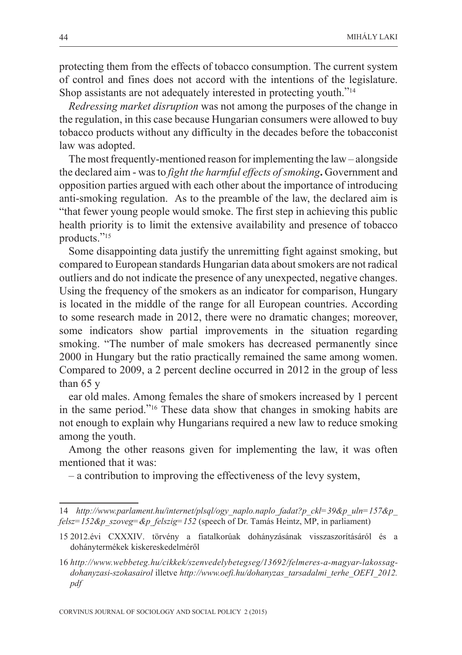protecting them from the effects of tobacco consumption. The current system of control and fines does not accord with the intentions of the legislature. Shop assistants are not adequately interested in protecting youth."14

*Redressing market disruption* was not among the purposes of the change in the regulation, in this case because Hungarian consumers were allowed to buy tobacco products without any difficulty in the decades before the tobacconist law was adopted.

The most frequently-mentioned reason for implementing the law – alongside the declared aim - was to *fight the harmful effects of smoking***.** Government and opposition parties argued with each other about the importance of introducing anti-smoking regulation. As to the preamble of the law, the declared aim is "that fewer young people would smoke. The first step in achieving this public health priority is to limit the extensive availability and presence of tobacco products."15

Some disappointing data justify the unremitting fight against smoking, but compared to European standards Hungarian data about smokers are not radical outliers and do not indicate the presence of any unexpected, negative changes. Using the frequency of the smokers as an indicator for comparison, Hungary is located in the middle of the range for all European countries. According to some research made in 2012, there were no dramatic changes; moreover, some indicators show partial improvements in the situation regarding smoking. "The number of male smokers has decreased permanently since 2000 in Hungary but the ratio practically remained the same among women. Compared to 2009, a 2 percent decline occurred in 2012 in the group of less than 65 y

ear old males. Among females the share of smokers increased by 1 percent in the same period."16 These data show that changes in smoking habits are not enough to explain why Hungarians required a new law to reduce smoking among the youth.

Among the other reasons given for implementing the law, it was often mentioned that it was:

– a contribution to improving the effectiveness of the levy system,

<sup>14</sup> *http://www.parlament.hu/internet/plsql/ogy\_naplo.naplo\_fadat?p\_ckl=39&p\_uln=157&p\_ felsz=152&p\_szoveg=&p\_felszig=152* (speech of Dr. Tamás Heintz, MP, in parliament)

<sup>15 2012.</sup>évi CXXXIV. törvény a fiatalkorúak dohányzásának visszaszorításáról és a dohánytermékek kiskereskedelméről

<sup>16</sup> *http://www.webbeteg.hu/cikkek/szenvedelybetegseg/13692/felmeres-a-magyar-lakossagdohanyzasi-szokasairol* illetve *http://www.oefi.hu/dohanyzas\_tarsadalmi\_terhe\_OEFI\_2012. pdf*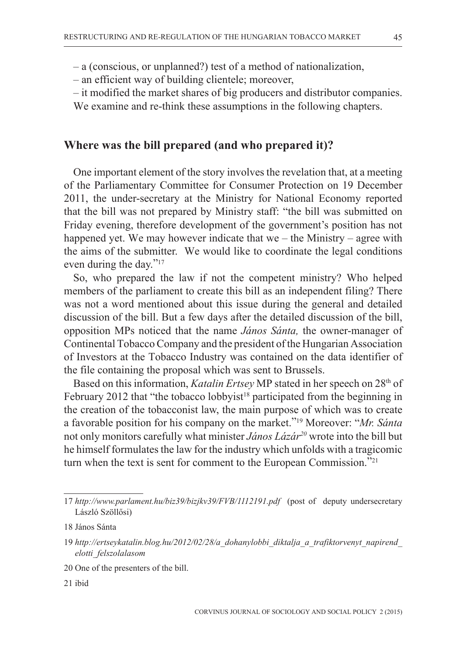– a (conscious, or unplanned?) test of a method of nationalization,

– an efficient way of building clientele; moreover,

– it modified the market shares of big producers and distributor companies.

We examine and re-think these assumptions in the following chapters.

## **Where was the bill prepared (and who prepared it)?**

One important element of the story involves the revelation that, at a meeting of the Parliamentary Committee for Consumer Protection on 19 December 2011, the under-secretary at the Ministry for National Economy reported that the bill was not prepared by Ministry staff: "the bill was submitted on Friday evening, therefore development of the government's position has not happened yet. We may however indicate that we – the Ministry – agree with the aims of the submitter. We would like to coordinate the legal conditions even during the day."<sup>17</sup>

So, who prepared the law if not the competent ministry? Who helped members of the parliament to create this bill as an independent filing? There was not a word mentioned about this issue during the general and detailed discussion of the bill. But a few days after the detailed discussion of the bill, opposition MPs noticed that the name *János Sánta,* the owner-manager of Continental Tobacco Company and the president of the Hungarian Association of Investors at the Tobacco Industry was contained on the data identifier of the file containing the proposal which was sent to Brussels.

Based on this information, *Katalin Ertsey* MP stated in her speech on 28<sup>th</sup> of February 2012 that "the tobacco lobbyist<sup>18</sup> participated from the beginning in the creation of the tobacconist law, the main purpose of which was to create a favorable position for his company on the market."19 Moreover: "*Mr. Sánta* not only monitors carefully what minister *János Lázár20* wrote into the bill but he himself formulates the law for the industry which unfolds with a tragicomic turn when the text is sent for comment to the European Commission."<sup>21</sup>

21 ibid

<sup>17</sup> *http://www.parlament.hu/biz39/bizjkv39/FVB/1112191.pdf* (post of deputy undersecretary László Szöllősi)

<sup>18</sup> János Sánta

<sup>19</sup> *http://ertseykatalin.blog.hu/2012/02/28/a\_dohanylobbi\_diktalja\_a\_trafiktorvenyt\_napirend\_ elotti\_felszolalasom*

<sup>20</sup> One of the presenters of the bill.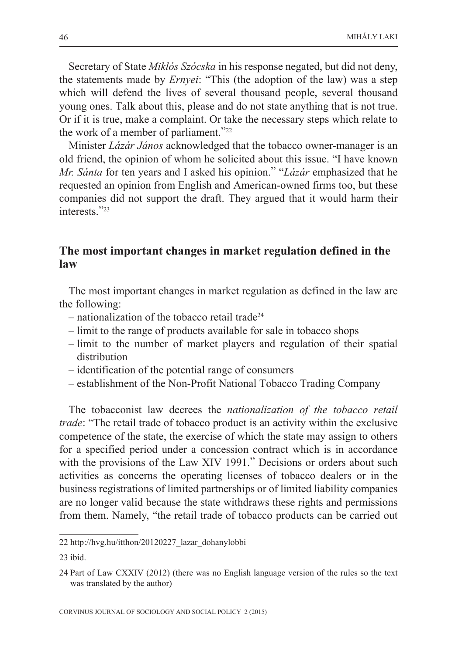Secretary of State *Miklós Szócska* in his response negated, but did not deny, the statements made by *Ernyei*: "This (the adoption of the law) was a step which will defend the lives of several thousand people, several thousand young ones. Talk about this, please and do not state anything that is not true. Or if it is true, make a complaint. Or take the necessary steps which relate to the work of a member of parliament."22

Minister *Lázár János* acknowledged that the tobacco owner-manager is an old friend, the opinion of whom he solicited about this issue. "I have known *Mr. Sánta* for ten years and I asked his opinion." "*Lázár* emphasized that he requested an opinion from English and American-owned firms too, but these companies did not support the draft. They argued that it would harm their interests<sup>"23</sup>

## **The most important changes in market regulation defined in the law**

The most important changes in market regulation as defined in the law are the following:

- $-$  nationalization of the tobacco retail trade<sup>24</sup>
- limit to the range of products available for sale in tobacco shops
- limit to the number of market players and regulation of their spatial distribution
- identification of the potential range of consumers
- establishment of the Non-Profit National Tobacco Trading Company

The tobacconist law decrees the *nationalization of the tobacco retail trade*: "The retail trade of tobacco product is an activity within the exclusive competence of the state, the exercise of which the state may assign to others for a specified period under a concession contract which is in accordance with the provisions of the Law XIV 1991." Decisions or orders about such activities as concerns the operating licenses of tobacco dealers or in the business registrations of limited partnerships or of limited liability companies are no longer valid because the state withdraws these rights and permissions from them. Namely, "the retail trade of tobacco products can be carried out

<sup>22</sup> http://hvg.hu/itthon/20120227\_lazar\_dohanylobbi

<sup>23</sup> ibid.

<sup>24</sup> Part of Law CXXIV (2012) (there was no English language version of the rules so the text was translated by the author)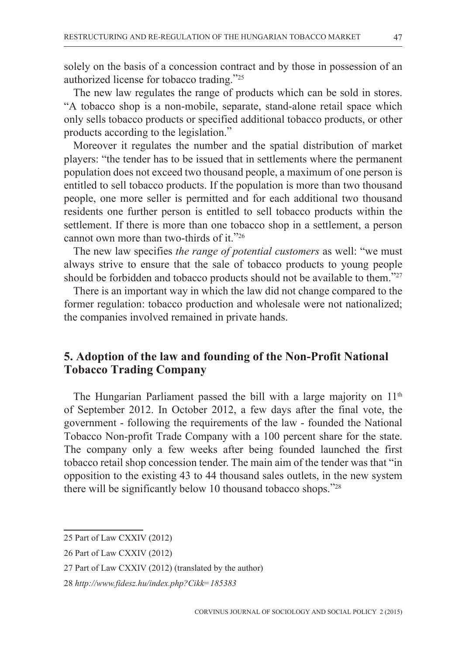solely on the basis of a concession contract and by those in possession of an authorized license for tobacco trading."25

The new law regulates the range of products which can be sold in stores. "A tobacco shop is a non-mobile, separate, stand-alone retail space which only sells tobacco products or specified additional tobacco products, or other products according to the legislation."

Moreover it regulates the number and the spatial distribution of market players: "the tender has to be issued that in settlements where the permanent population does not exceed two thousand people, a maximum of one person is entitled to sell tobacco products. If the population is more than two thousand people, one more seller is permitted and for each additional two thousand residents one further person is entitled to sell tobacco products within the settlement. If there is more than one tobacco shop in a settlement, a person cannot own more than two-thirds of it."26

The new law specifies *the range of potential customers* as well: "we must always strive to ensure that the sale of tobacco products to young people should be forbidden and tobacco products should not be available to them."<sup>27</sup>

There is an important way in which the law did not change compared to the former regulation: tobacco production and wholesale were not nationalized; the companies involved remained in private hands.

## **5. Adoption of the law and founding of the Non-Profit National Tobacco Trading Company**

The Hungarian Parliament passed the bill with a large majority on 11<sup>th</sup> of September 2012. In October 2012, a few days after the final vote, the government - following the requirements of the law - founded the National Tobacco Non-profit Trade Company with a 100 percent share for the state. The company only a few weeks after being founded launched the first tobacco retail shop concession tender. The main aim of the tender was that "in opposition to the existing 43 to 44 thousand sales outlets, in the new system there will be significantly below 10 thousand tobacco shops."28

<sup>25</sup> Part of Law CXXIV (2012)

<sup>26</sup> Part of Law CXXIV (2012)

<sup>27</sup> Part of Law CXXIV (2012) (translated by the author)

<sup>28</sup> *http://www.fidesz.hu/index.php?Cikk=185383*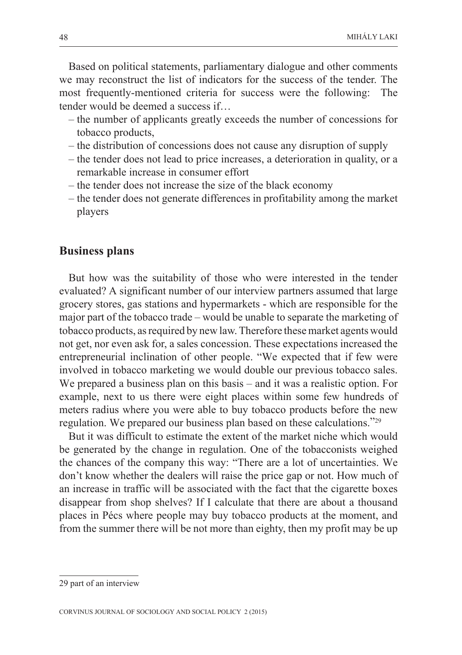Based on political statements, parliamentary dialogue and other comments we may reconstruct the list of indicators for the success of the tender. The most frequently-mentioned criteria for success were the following: The tender would be deemed a success if…

- the number of applicants greatly exceeds the number of concessions for tobacco products,
- the distribution of concessions does not cause any disruption of supply
- the tender does not lead to price increases, a deterioration in quality, or a remarkable increase in consumer effort
- the tender does not increase the size of the black economy
- the tender does not generate differences in profitability among the market players

#### **Business plans**

But how was the suitability of those who were interested in the tender evaluated? A significant number of our interview partners assumed that large grocery stores, gas stations and hypermarkets - which are responsible for the major part of the tobacco trade – would be unable to separate the marketing of tobacco products, as required by new law. Therefore these market agents would not get, nor even ask for, a sales concession. These expectations increased the entrepreneurial inclination of other people. "We expected that if few were involved in tobacco marketing we would double our previous tobacco sales. We prepared a business plan on this basis – and it was a realistic option. For example, next to us there were eight places within some few hundreds of meters radius where you were able to buy tobacco products before the new regulation. We prepared our business plan based on these calculations."29

But it was difficult to estimate the extent of the market niche which would be generated by the change in regulation. One of the tobacconists weighed the chances of the company this way: "There are a lot of uncertainties. We don't know whether the dealers will raise the price gap or not. How much of an increase in traffic will be associated with the fact that the cigarette boxes disappear from shop shelves? If I calculate that there are about a thousand places in Pécs where people may buy tobacco products at the moment, and from the summer there will be not more than eighty, then my profit may be up

<sup>29</sup> part of an interview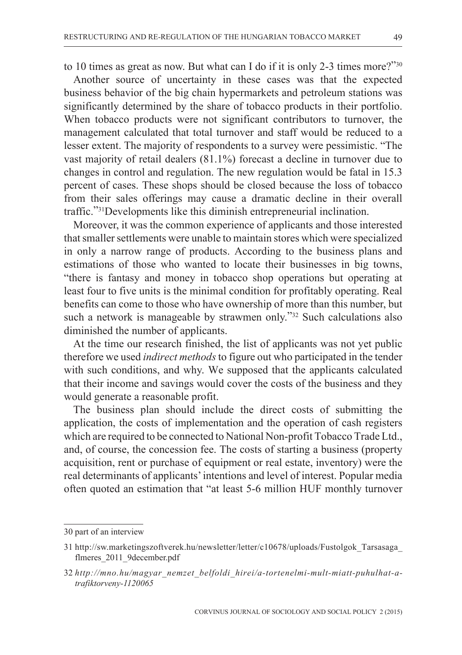to 10 times as great as now. But what can I do if it is only 2-3 times more?"30

Another source of uncertainty in these cases was that the expected business behavior of the big chain hypermarkets and petroleum stations was significantly determined by the share of tobacco products in their portfolio. When tobacco products were not significant contributors to turnover, the management calculated that total turnover and staff would be reduced to a lesser extent. The majority of respondents to a survey were pessimistic. "The vast majority of retail dealers (81.1%) forecast a decline in turnover due to changes in control and regulation. The new regulation would be fatal in 15.3 percent of cases. These shops should be closed because the loss of tobacco from their sales offerings may cause a dramatic decline in their overall traffic."31Developments like this diminish entrepreneurial inclination.

Moreover, it was the common experience of applicants and those interested that smaller settlements were unable to maintain stores which were specialized in only a narrow range of products. According to the business plans and estimations of those who wanted to locate their businesses in big towns, "there is fantasy and money in tobacco shop operations but operating at least four to five units is the minimal condition for profitably operating. Real benefits can come to those who have ownership of more than this number, but such a network is manageable by strawmen only."<sup>32</sup> Such calculations also diminished the number of applicants.

At the time our research finished, the list of applicants was not yet public therefore we used *indirect methods* to figure out who participated in the tender with such conditions, and why. We supposed that the applicants calculated that their income and savings would cover the costs of the business and they would generate a reasonable profit.

The business plan should include the direct costs of submitting the application, the costs of implementation and the operation of cash registers which are required to be connected to National Non-profit Tobacco Trade Ltd., and, of course, the concession fee. The costs of starting a business (property acquisition, rent or purchase of equipment or real estate, inventory) were the real determinants of applicants' intentions and level of interest. Popular media often quoted an estimation that "at least 5-6 million HUF monthly turnover

<sup>30</sup> part of an interview

<sup>31</sup> http://sw.marketingszoftverek.hu/newsletter/letter/c10678/uploads/Fustolgok\_Tarsasaga\_ flmeres\_2011\_9december.pdf

<sup>32</sup> *http://mno.hu/magyar\_nemzet\_belfoldi\_hirei/a-tortenelmi-mult-miatt-puhulhat-atrafiktorveny-1120065*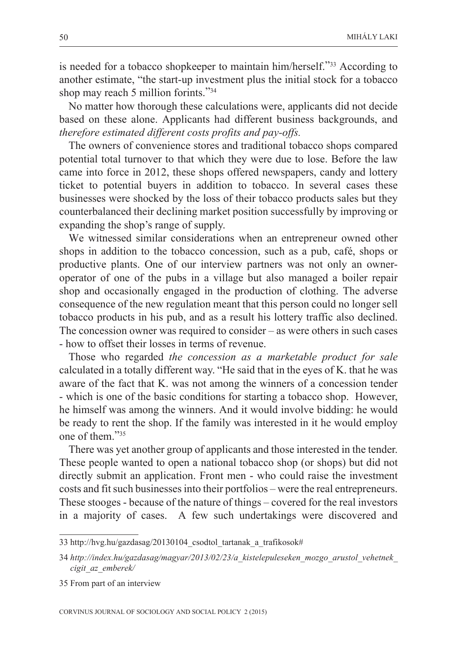is needed for a tobacco shopkeeper to maintain him/herself."33 According to another estimate, "the start-up investment plus the initial stock for a tobacco shop may reach 5 million forints."34

No matter how thorough these calculations were, applicants did not decide based on these alone. Applicants had different business backgrounds, and *therefore estimated different costs profits and pay-offs.* 

The owners of convenience stores and traditional tobacco shops compared potential total turnover to that which they were due to lose. Before the law came into force in 2012, these shops offered newspapers, candy and lottery ticket to potential buyers in addition to tobacco. In several cases these businesses were shocked by the loss of their tobacco products sales but they counterbalanced their declining market position successfully by improving or expanding the shop's range of supply.

We witnessed similar considerations when an entrepreneur owned other shops in addition to the tobacco concession, such as a pub, café, shops or productive plants. One of our interview partners was not only an owneroperator of one of the pubs in a village but also managed a boiler repair shop and occasionally engaged in the production of clothing. The adverse consequence of the new regulation meant that this person could no longer sell tobacco products in his pub, and as a result his lottery traffic also declined. The concession owner was required to consider – as were others in such cases - how to offset their losses in terms of revenue.

Those who regarded *the concession as a marketable product for sale* calculated in a totally different way. "He said that in the eyes of K. that he was aware of the fact that K. was not among the winners of a concession tender - which is one of the basic conditions for starting a tobacco shop. However, he himself was among the winners. And it would involve bidding: he would be ready to rent the shop. If the family was interested in it he would employ one of them<sup>"35</sup>

There was yet another group of applicants and those interested in the tender. These people wanted to open a national tobacco shop (or shops) but did not directly submit an application. Front men - who could raise the investment costs and fit such businesses into their portfolios – were the real entrepreneurs. These stooges - because of the nature of things – covered for the real investors in a majority of cases. A few such undertakings were discovered and

<sup>33</sup> http://hvg.hu/gazdasag/20130104\_csodtol\_tartanak\_a\_trafikosok#

<sup>34</sup> *http://index.hu/gazdasag/magyar/2013/02/23/a\_kistelepuleseken\_mozgo\_arustol\_vehetnek\_ cigit\_az\_emberek/*

<sup>35</sup> From part of an interview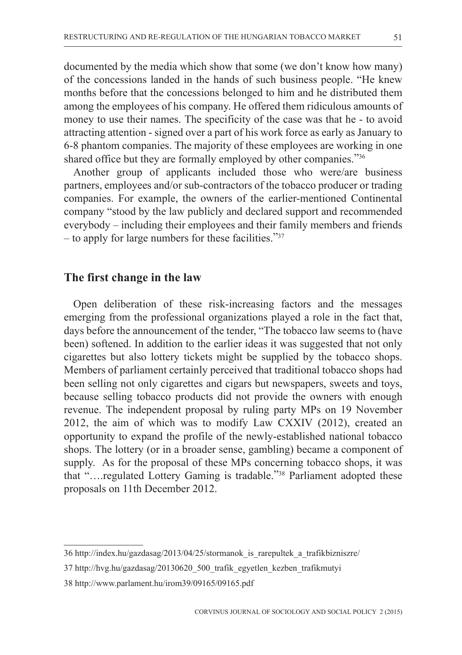documented by the media which show that some (we don't know how many) of the concessions landed in the hands of such business people. "He knew months before that the concessions belonged to him and he distributed them among the employees of his company. He offered them ridiculous amounts of money to use their names. The specificity of the case was that he - to avoid attracting attention - signed over a part of his work force as early as January to 6-8 phantom companies. The majority of these employees are working in one shared office but they are formally employed by other companies."36

Another group of applicants included those who were/are business partners, employees and/or sub-contractors of the tobacco producer or trading companies. For example, the owners of the earlier-mentioned Continental company "stood by the law publicly and declared support and recommended everybody – including their employees and their family members and friends – to apply for large numbers for these facilities."37

## **The first change in the law**

Open deliberation of these risk-increasing factors and the messages emerging from the professional organizations played a role in the fact that, days before the announcement of the tender, "The tobacco law seems to (have been) softened. In addition to the earlier ideas it was suggested that not only cigarettes but also lottery tickets might be supplied by the tobacco shops. Members of parliament certainly perceived that traditional tobacco shops had been selling not only cigarettes and cigars but newspapers, sweets and toys, because selling tobacco products did not provide the owners with enough revenue. The independent proposal by ruling party MPs on 19 November 2012, the aim of which was to modify Law CXXIV (2012), created an opportunity to expand the profile of the newly-established national tobacco shops. The lottery (or in a broader sense, gambling) became a component of supply. As for the proposal of these MPs concerning tobacco shops, it was that "….regulated Lottery Gaming is tradable."38 Parliament adopted these proposals on 11th December 2012.

<sup>36</sup> http://index.hu/gazdasag/2013/04/25/stormanok\_is\_rarepultek\_a\_trafikbizniszre/

<sup>37</sup> http://hvg.hu/gazdasag/20130620\_500\_trafik\_egyetlen\_kezben\_trafikmutyi

<sup>38</sup> http://www.parlament.hu/irom39/09165/09165.pdf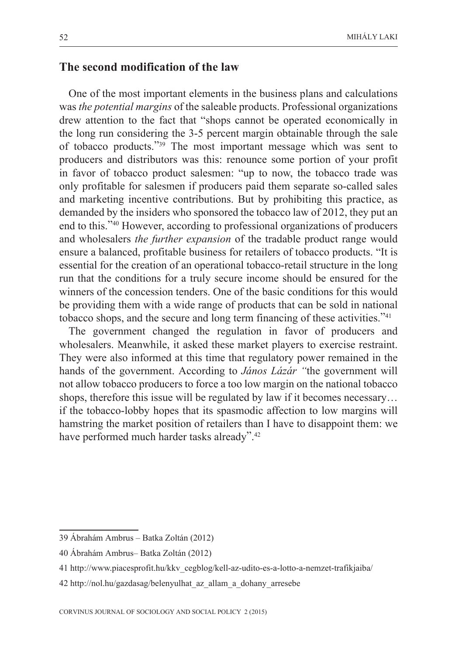### **The second modification of the law**

One of the most important elements in the business plans and calculations was *the potential margins* of the saleable products. Professional organizations drew attention to the fact that "shops cannot be operated economically in the long run considering the 3-5 percent margin obtainable through the sale of tobacco products."39 The most important message which was sent to producers and distributors was this: renounce some portion of your profit in favor of tobacco product salesmen: "up to now, the tobacco trade was only profitable for salesmen if producers paid them separate so-called sales and marketing incentive contributions. But by prohibiting this practice, as demanded by the insiders who sponsored the tobacco law of 2012, they put an end to this."40 However, according to professional organizations of producers and wholesalers *the further expansion* of the tradable product range would ensure a balanced, profitable business for retailers of tobacco products. "It is essential for the creation of an operational tobacco-retail structure in the long run that the conditions for a truly secure income should be ensured for the winners of the concession tenders. One of the basic conditions for this would be providing them with a wide range of products that can be sold in national tobacco shops, and the secure and long term financing of these activities."41

The government changed the regulation in favor of producers and wholesalers. Meanwhile, it asked these market players to exercise restraint. They were also informed at this time that regulatory power remained in the hands of the government. According to *János Lázár "*the government will not allow tobacco producers to force a too low margin on the national tobacco shops, therefore this issue will be regulated by law if it becomes necessary… if the tobacco-lobby hopes that its spasmodic affection to low margins will hamstring the market position of retailers than I have to disappoint them: we have performed much harder tasks already".<sup>42</sup>

<sup>39</sup> Ábrahám Ambrus – Batka Zoltán (2012)

<sup>40</sup> Ábrahám Ambrus– Batka Zoltán (2012)

<sup>41</sup> http://www.piacesprofit.hu/kkv\_cegblog/kell-az-udito-es-a-lotto-a-nemzet-trafikjaiba/

<sup>42</sup> http://nol.hu/gazdasag/belenyulhat\_az\_allam\_a\_dohany\_arresebe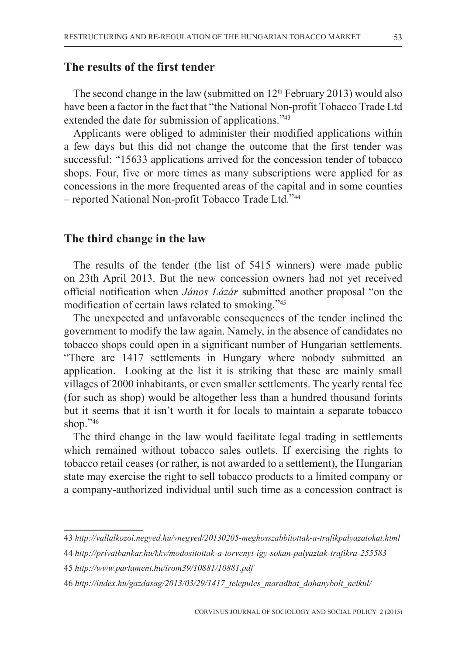### **The results of the first tender**

The second change in the law (submitted on 12<sup>th</sup> February 2013) would also have been a factor in the fact that "the National Non-profit Tobacco Trade Ltd extended the date for submission of applications."43

Applicants were obliged to administer their modified applications within a few days but this did not change the outcome that the first tender was successful: "15633 applications arrived for the concession tender of tobacco shops. Four, five or more times as many subscriptions were applied for as concessions in the more frequented areas of the capital and in some counties – reported National Non-profit Tobacco Trade Ltd."44

#### **The third change in the law**

The results of the tender (the list of 5415 winners) were made public on 23th April 2013. But the new concession owners had not yet received official notification when *János Lázár* submitted another proposal "on the modification of certain laws related to smoking."45

The unexpected and unfavorable consequences of the tender inclined the government to modify the law again. Namely, in the absence of candidates no tobacco shops could open in a significant number of Hungarian settlements. "There are 1417 settlements in Hungary where nobody submitted an application. Looking at the list it is striking that these are mainly small villages of 2000 inhabitants, or even smaller settlements. The yearly rental fee (for such as shop) would be altogether less than a hundred thousand forints but it seems that it isn't worth it for locals to maintain a separate tobacco shop."46

The third change in the law would facilitate legal trading in settlements which remained without tobacco sales outlets. If exercising the rights to tobacco retail ceases (or rather, is not awarded to a settlement), the Hungarian state may exercise the right to sell tobacco products to a limited company or a company-authorized individual until such time as a concession contract is

- 44 *http://privatbankar.hu/kkv/modositottak-a-torvenyt-igy-sokan-palyaztak-trafikra-255583*
- 45 *http://www.parlament.hu/irom39/10881/10881.pdf*
- 46 *http://index.hu/gazdasag/2013/03/29/1417\_telepules\_maradhat\_dohanybolt\_nelkul/*

<sup>43</sup> *http://vallalkozoi.negyed.hu/vnegyed/20130205-meghosszabbitottak-a-trafikpalyazatokat.html*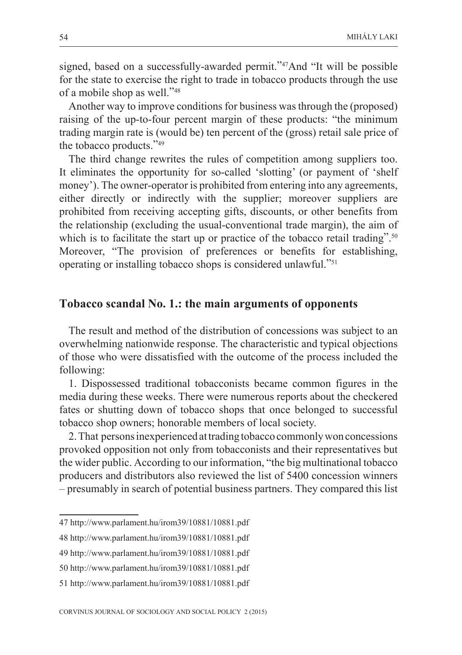signed, based on a successfully-awarded permit."47And "It will be possible for the state to exercise the right to trade in tobacco products through the use of a mobile shop as well."48

Another way to improve conditions for business was through the (proposed) raising of the up-to-four percent margin of these products: "the minimum trading margin rate is (would be) ten percent of the (gross) retail sale price of the tobacco products."49

The third change rewrites the rules of competition among suppliers too. It eliminates the opportunity for so-called 'slotting' (or payment of 'shelf money'). The owner-operator is prohibited from entering into any agreements, either directly or indirectly with the supplier; moreover suppliers are prohibited from receiving accepting gifts, discounts, or other benefits from the relationship (excluding the usual-conventional trade margin), the aim of which is to facilitate the start up or practice of the tobacco retail trading".<sup>50</sup> Moreover, "The provision of preferences or benefits for establishing, operating or installing tobacco shops is considered unlawful."51

#### **Tobacco scandal No. 1.: the main arguments of opponents**

The result and method of the distribution of concessions was subject to an overwhelming nationwide response. The characteristic and typical objections of those who were dissatisfied with the outcome of the process included the following:

1. Dispossessed traditional tobacconists became common figures in the media during these weeks. There were numerous reports about the checkered fates or shutting down of tobacco shops that once belonged to successful tobacco shop owners; honorable members of local society.

2. That persons inexperienced at trading tobacco commonly won concessions provoked opposition not only from tobacconists and their representatives but the wider public. According to our information, "the big multinational tobacco producers and distributors also reviewed the list of 5400 concession winners – presumably in search of potential business partners. They compared this list

<sup>47</sup> http://www.parlament.hu/irom39/10881/10881.pdf

<sup>48</sup> http://www.parlament.hu/irom39/10881/10881.pdf

<sup>49</sup> http://www.parlament.hu/irom39/10881/10881.pdf

<sup>50</sup> http://www.parlament.hu/irom39/10881/10881.pdf

<sup>51</sup> http://www.parlament.hu/irom39/10881/10881.pdf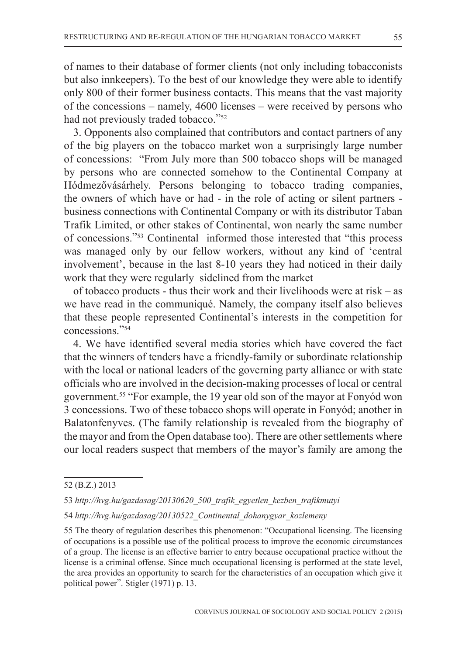of names to their database of former clients (not only including tobacconists but also innkeepers). To the best of our knowledge they were able to identify only 800 of their former business contacts. This means that the vast majority of the concessions – namely, 4600 licenses – were received by persons who had not previously traded tobacco."<sup>52</sup>

3. Opponents also complained that contributors and contact partners of any of the big players on the tobacco market won a surprisingly large number of concessions: "From July more than 500 tobacco shops will be managed by persons who are connected somehow to the Continental Company at Hódmezővásárhely. Persons belonging to tobacco trading companies, the owners of which have or had - in the role of acting or silent partners business connections with Continental Company or with its distributor Taban Trafik Limited, or other stakes of Continental, won nearly the same number of concessions."53 Continental informed those interested that "this process was managed only by our fellow workers, without any kind of 'central involvement', because in the last 8-10 years they had noticed in their daily work that they were regularly sidelined from the market

of tobacco products - thus their work and their livelihoods were at risk – as we have read in the communiqué. Namely, the company itself also believes that these people represented Continental's interests in the competition for concessions."54

4. We have identified several media stories which have covered the fact that the winners of tenders have a friendly-family or subordinate relationship with the local or national leaders of the governing party alliance or with state officials who are involved in the decision-making processes of local or central government.55 "For example, the 19 year old son of the mayor at Fonyód won 3 concessions. Two of these tobacco shops will operate in Fonyód; another in Balatonfenyves. (The family relationship is revealed from the biography of the mayor and from the Open database too). There are other settlements where our local readers suspect that members of the mayor's family are among the

<sup>52 (</sup>B.Z.) 2013

<sup>53</sup> *http://hvg.hu/gazdasag/20130620\_500\_trafik\_egyetlen\_kezben\_trafikmutyi*

<sup>54</sup> *http://hvg.hu/gazdasag/20130522\_Continental\_dohanygyar\_kozlemeny*

<sup>55</sup> The theory of regulation describes this phenomenon: "Occupational licensing. The licensing of occupations is a possible use of the political process to improve the economic circumstances of a group. The license is an effective barrier to entry because occupational practice without the license is a criminal offense. Since much occupational licensing is performed at the state level, the area provides an opportunity to search for the characteristics of an occupation which give it political power". Stigler (1971) p. 13.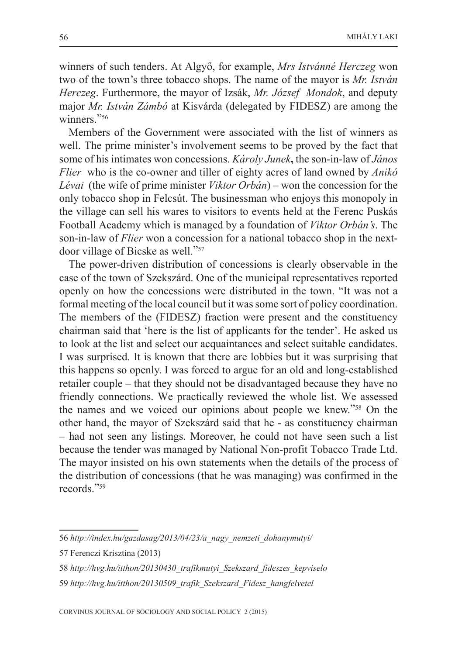winners of such tenders. At Algyő, for example, *Mrs Istvánné Herczeg* won two of the town's three tobacco shops. The name of the mayor is *Mr. István Herczeg*. Furthermore, the mayor of Izsák, *Mr. József Mondok*, and deputy major *Mr. István Zámbó* at Kisvárda (delegated by FIDESZ) are among the winners."<sup>56</sup>

Members of the Government were associated with the list of winners as well. The prime minister's involvement seems to be proved by the fact that some of his intimates won concessions. *Károly Junek***,** the son-in-law of *János Flier* who is the co-owner and tiller of eighty acres of land owned by *Anikó Lévai* (the wife of prime minister *Viktor Orbán*) – won the concession for the only tobacco shop in Felcsút. The businessman who enjoys this monopoly in the village can sell his wares to visitors to events held at the Ferenc Puskás Football Academy which is managed by a foundation of *Viktor Orbán's*. The son-in-law of *Flier* won a concession for a national tobacco shop in the nextdoor village of Bicske as well."57

The power-driven distribution of concessions is clearly observable in the case of the town of Szekszárd. One of the municipal representatives reported openly on how the concessions were distributed in the town. "It was not a formal meeting of the local council but it was some sort of policy coordination. The members of the (FIDESZ) fraction were present and the constituency chairman said that 'here is the list of applicants for the tender'. He asked us to look at the list and select our acquaintances and select suitable candidates. I was surprised. It is known that there are lobbies but it was surprising that this happens so openly. I was forced to argue for an old and long-established retailer couple – that they should not be disadvantaged because they have no friendly connections. We practically reviewed the whole list. We assessed the names and we voiced our opinions about people we knew."58 On the other hand, the mayor of Szekszárd said that he - as constituency chairman – had not seen any listings. Moreover, he could not have seen such a list because the tender was managed by National Non-profit Tobacco Trade Ltd. The mayor insisted on his own statements when the details of the process of the distribution of concessions (that he was managing) was confirmed in the records."59

<sup>56</sup> *http://index.hu/gazdasag/2013/04/23/a\_nagy\_nemzeti\_dohanymutyi/*

<sup>57</sup> Ferenczi Krisztina (2013)

<sup>58</sup> *http://hvg.hu/itthon/20130430\_trafikmutyi\_Szekszard\_fideszes\_kepviselo*

<sup>59</sup> *http://hvg.hu/itthon/20130509\_trafik\_Szekszard\_Fidesz\_hangfelvetel*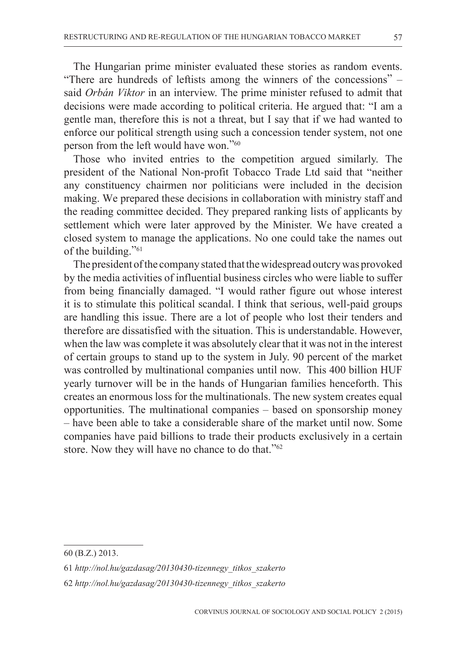The Hungarian prime minister evaluated these stories as random events. "There are hundreds of leftists among the winners of the concessions" – said *Orbán Viktor* in an interview. The prime minister refused to admit that decisions were made according to political criteria. He argued that: "I am a gentle man, therefore this is not a threat, but I say that if we had wanted to enforce our political strength using such a concession tender system, not one person from the left would have won."60

Those who invited entries to the competition argued similarly. The president of the National Non-profit Tobacco Trade Ltd said that "neither any constituency chairmen nor politicians were included in the decision making. We prepared these decisions in collaboration with ministry staff and the reading committee decided. They prepared ranking lists of applicants by settlement which were later approved by the Minister. We have created a closed system to manage the applications. No one could take the names out of the building."61

The president of the company stated that the widespread outcry was provoked by the media activities of influential business circles who were liable to suffer from being financially damaged. "I would rather figure out whose interest it is to stimulate this political scandal. I think that serious, well-paid groups are handling this issue. There are a lot of people who lost their tenders and therefore are dissatisfied with the situation. This is understandable. However, when the law was complete it was absolutely clear that it was not in the interest of certain groups to stand up to the system in July. 90 percent of the market was controlled by multinational companies until now. This 400 billion HUF yearly turnover will be in the hands of Hungarian families henceforth. This creates an enormous loss for the multinationals. The new system creates equal opportunities. The multinational companies – based on sponsorship money – have been able to take a considerable share of the market until now. Some companies have paid billions to trade their products exclusively in a certain store. Now they will have no chance to do that."62

<sup>60 (</sup>B.Z.) 2013.

<sup>61</sup> *http://nol.hu/gazdasag/20130430-tizennegy\_titkos\_szakerto*

<sup>62</sup> *http://nol.hu/gazdasag/20130430-tizennegy\_titkos\_szakerto*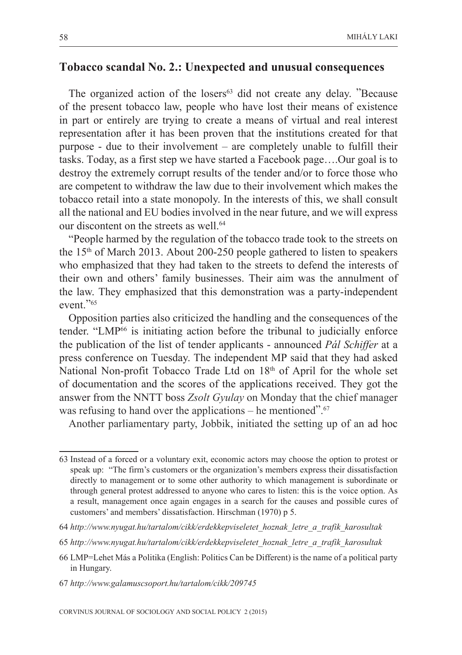### **Tobacco scandal No. 2.: Unexpected and unusual consequences**

The organized action of the losers<sup>63</sup> did not create any delay. "Because of the present tobacco law, people who have lost their means of existence in part or entirely are trying to create a means of virtual and real interest representation after it has been proven that the institutions created for that purpose - due to their involvement – are completely unable to fulfill their tasks. Today, as a first step we have started a Facebook page….Our goal is to destroy the extremely corrupt results of the tender and/or to force those who are competent to withdraw the law due to their involvement which makes the tobacco retail into a state monopoly. In the interests of this, we shall consult all the national and EU bodies involved in the near future, and we will express our discontent on the streets as well.<sup>64</sup>

"People harmed by the regulation of the tobacco trade took to the streets on the  $15<sup>th</sup>$  of March 2013. About 200-250 people gathered to listen to speakers who emphasized that they had taken to the streets to defend the interests of their own and others' family businesses. Their aim was the annulment of the law. They emphasized that this demonstration was a party-independent event."65

Opposition parties also criticized the handling and the consequences of the tender. "LMP66 is initiating action before the tribunal to judicially enforce the publication of the list of tender applicants - announced *Pál Schiffer* at a press conference on Tuesday. The independent MP said that they had asked National Non-profit Tobacco Trade Ltd on 18<sup>th</sup> of April for the whole set of documentation and the scores of the applications received. They got the answer from the NNTT boss *Zsolt Gyulay* on Monday that the chief manager was refusing to hand over the applications – he mentioned". $67$ 

Another parliamentary party, Jobbik, initiated the setting up of an ad hoc

<sup>63</sup> Instead of a forced or a voluntary exit, economic actors may choose the option to protest or speak up: "The firm's customers or the organization's members express their dissatisfaction directly to management or to some other authority to which management is subordinate or through general protest addressed to anyone who cares to listen: this is the voice option. As a result, management once again engages in a search for the causes and possible cures of customers' and members' dissatisfaction. Hirschman (1970) p 5.

<sup>64</sup> *http://www.nyugat.hu/tartalom/cikk/erdekkepviseletet\_hoznak\_letre\_a\_trafik\_karosultak*

<sup>65</sup> *http://www.nyugat.hu/tartalom/cikk/erdekkepviseletet\_hoznak\_letre\_a\_trafik\_karosultak*

<sup>66</sup> LMP=Lehet Más a Politika (English: Politics Can be Different) is the name of a political party in Hungary.

<sup>67</sup> *http://www.galamuscsoport.hu/tartalom/cikk/209745*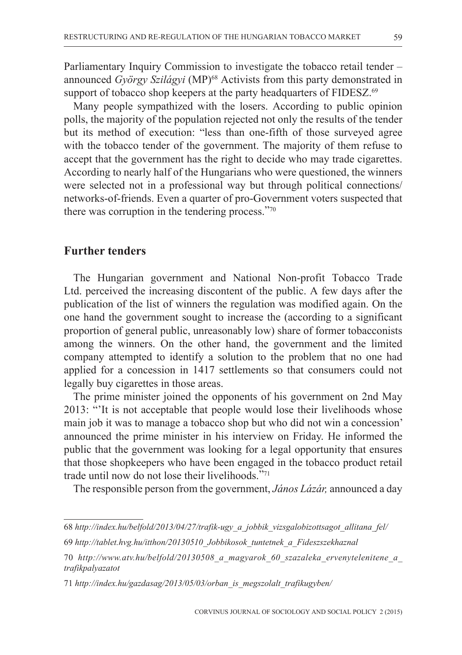Parliamentary Inquiry Commission to investigate the tobacco retail tender – announced *György Szilágyi* (MP)<sup>68</sup> Activists from this party demonstrated in support of tobacco shop keepers at the party headquarters of FIDESZ.<sup>69</sup>

Many people sympathized with the losers. According to public opinion polls, the majority of the population rejected not only the results of the tender but its method of execution: "less than one-fifth of those surveyed agree with the tobacco tender of the government. The majority of them refuse to accept that the government has the right to decide who may trade cigarettes. According to nearly half of the Hungarians who were questioned, the winners were selected not in a professional way but through political connections/ networks-of-friends. Even a quarter of pro-Government voters suspected that there was corruption in the tendering process."70

#### **Further tenders**

The Hungarian government and National Non-profit Tobacco Trade Ltd. perceived the increasing discontent of the public. A few days after the publication of the list of winners the regulation was modified again. On the one hand the government sought to increase the (according to a significant proportion of general public, unreasonably low) share of former tobacconists among the winners. On the other hand, the government and the limited company attempted to identify a solution to the problem that no one had applied for a concession in 1417 settlements so that consumers could not legally buy cigarettes in those areas.

The prime minister joined the opponents of his government on 2nd May 2013: "'It is not acceptable that people would lose their livelihoods whose main job it was to manage a tobacco shop but who did not win a concession' announced the prime minister in his interview on Friday. He informed the public that the government was looking for a legal opportunity that ensures that those shopkeepers who have been engaged in the tobacco product retail trade until now do not lose their livelihoods."71

The responsible person from the government, *János Lázár,* announced a day

<sup>68</sup> *http://index.hu/belfold/2013/04/27/trafik-ugy\_a\_jobbik\_vizsgalobizottsagot\_allitana\_fel/*

<sup>69</sup> *http://tablet.hvg.hu/itthon/20130510\_Jobbikosok\_tuntetnek\_a\_Fideszszekhaznal*

<sup>70</sup> *http://www.atv.hu/belfold/20130508\_a\_magyarok\_60\_szazaleka\_ervenytelenitene\_a\_ trafikpalyazatot*

<sup>71</sup> *http://index.hu/gazdasag/2013/05/03/orban\_is\_megszolalt\_trafikugyben/*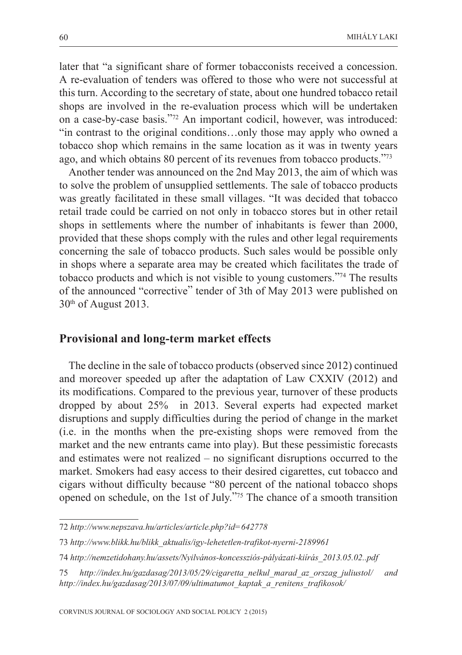later that "a significant share of former tobacconists received a concession. A re-evaluation of tenders was offered to those who were not successful at this turn. According to the secretary of state, about one hundred tobacco retail shops are involved in the re-evaluation process which will be undertaken on a case-by-case basis."72 An important codicil, however, was introduced: "in contrast to the original conditions…only those may apply who owned a tobacco shop which remains in the same location as it was in twenty years ago, and which obtains 80 percent of its revenues from tobacco products."73

Another tender was announced on the 2nd May 2013, the aim of which was to solve the problem of unsupplied settlements. The sale of tobacco products was greatly facilitated in these small villages. "It was decided that tobacco retail trade could be carried on not only in tobacco stores but in other retail shops in settlements where the number of inhabitants is fewer than 2000, provided that these shops comply with the rules and other legal requirements concerning the sale of tobacco products. Such sales would be possible only in shops where a separate area may be created which facilitates the trade of tobacco products and which is not visible to young customers."74 The results of the announced "corrective" tender of 3th of May 2013 were published on 30<sup>th</sup> of August 2013.

#### **Provisional and long-term market effects**

The decline in the sale of tobacco products (observed since 2012) continued and moreover speeded up after the adaptation of Law CXXIV (2012) and its modifications. Compared to the previous year, turnover of these products dropped by about 25% in 2013. Several experts had expected market disruptions and supply difficulties during the period of change in the market (i.e. in the months when the pre-existing shops were removed from the market and the new entrants came into play). But these pessimistic forecasts and estimates were not realized – no significant disruptions occurred to the market. Smokers had easy access to their desired cigarettes, cut tobacco and cigars without difficulty because "80 percent of the national tobacco shops opened on schedule, on the 1st of July."75 The chance of a smooth transition

<sup>72</sup> *http://www.nepszava.hu/articles/article.php?id=642778*

<sup>73</sup> *http://www.blikk.hu/blikk\_aktualis/igy-lehetetlen-trafikot-nyerni-2189961*

<sup>74</sup> *http://nemzetidohany.hu/assets/Nyilvános-koncessziós-pályázati-kiírás\_2013.05.02..pdf*

<sup>75</sup> *http://index.hu/gazdasag/2013/05/29/cigaretta\_nelkul\_marad\_az\_orszag\_juliustol/ and http://index.hu/gazdasag/2013/07/09/ultimatumot\_kaptak\_a\_renitens\_trafikosok/*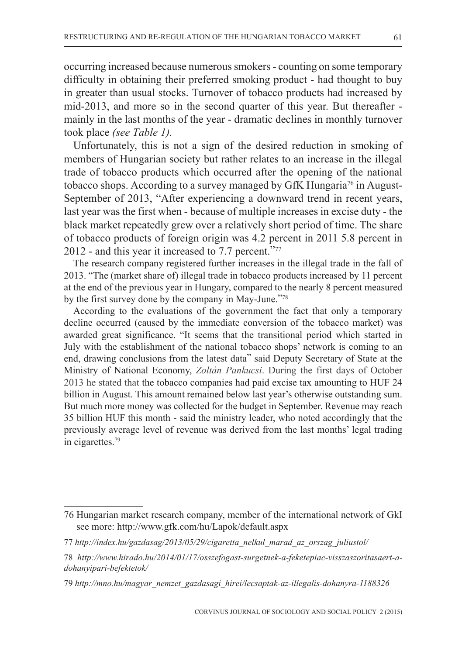occurring increased because numerous smokers - counting on some temporary difficulty in obtaining their preferred smoking product - had thought to buy in greater than usual stocks. Turnover of tobacco products had increased by mid-2013, and more so in the second quarter of this year. But thereafter mainly in the last months of the year - dramatic declines in monthly turnover took place *(see Table 1).*

Unfortunately, this is not a sign of the desired reduction in smoking of members of Hungarian society but rather relates to an increase in the illegal trade of tobacco products which occurred after the opening of the national tobacco shops. According to a survey managed by GfK Hungaria<sup>76</sup> in August-September of 2013, "After experiencing a downward trend in recent years, last year was the first when - because of multiple increases in excise duty - the black market repeatedly grew over a relatively short period of time. The share of tobacco products of foreign origin was 4.2 percent in 2011 5.8 percent in 2012 - and this year it increased to 7.7 percent."77

The research company registered further increases in the illegal trade in the fall of 2013. "The (market share of) illegal trade in tobacco products increased by 11 percent at the end of the previous year in Hungary, compared to the nearly 8 percent measured by the first survey done by the company in May-June."78

According to the evaluations of the government the fact that only a temporary decline occurred (caused by the immediate conversion of the tobacco market) was awarded great significance. "It seems that the transitional period which started in July with the establishment of the national tobacco shops' network is coming to an end, drawing conclusions from the latest data" said Deputy Secretary of State at the Ministry of National Economy, *Zoltán Pankucsi*. During the first days of October 2013 he stated that the tobacco companies had paid excise tax amounting to HUF 24 billion in August. This amount remained below last year's otherwise outstanding sum. But much more money was collected for the budget in September. Revenue may reach 35 billion HUF this month - said the ministry leader, who noted accordingly that the previously average level of revenue was derived from the last months' legal trading in cigarettes.79

<sup>76</sup> Hungarian market research company, member of the international network of GkI see more: http://www.gfk.com/hu/Lapok/default.aspx

<sup>77</sup> *http://index.hu/gazdasag/2013/05/29/cigaretta\_nelkul\_marad\_az\_orszag\_juliustol/*

<sup>78</sup> *http://www.hirado.hu/2014/01/17/osszefogast-surgetnek-a-feketepiac-visszaszoritasaert-adohanyipari-befektetok/*

<sup>79</sup> *http://mno.hu/magyar\_nemzet\_gazdasagi\_hirei/lecsaptak-az-illegalis-dohanyra-1188326*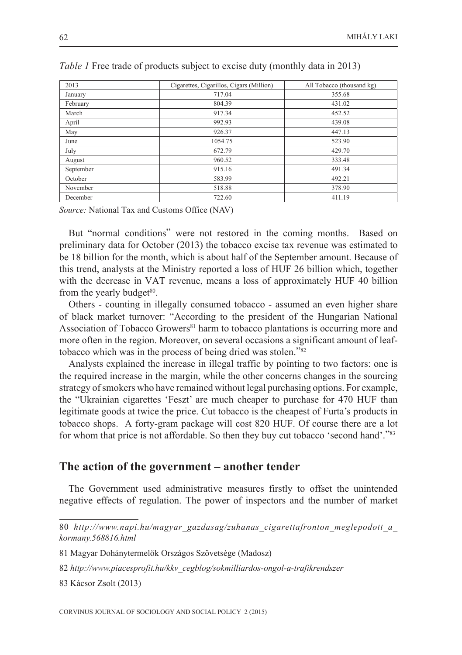| 2013      | Cigarettes, Cigarillos, Cigars (Million) | All Tobacco (thousand kg) |
|-----------|------------------------------------------|---------------------------|
| January   | 717.04                                   | 355.68                    |
| February  | 804.39                                   | 431.02                    |
| March     | 917.34                                   | 452.52                    |
| April     | 992.93                                   | 439.08                    |
| May       | 926.37                                   | 447.13                    |
| June      | 1054.75                                  | 523.90                    |
| July      | 672.79                                   | 429.70                    |
| August    | 960.52                                   | 333.48                    |
| September | 915.16                                   | 491.34                    |
| October   | 583.99                                   | 492.21                    |
| November  | 518.88                                   | 378.90                    |
| December  | 722.60                                   | 411.19                    |

|  |  | <i>Table 1</i> Free trade of products subject to excise duty (monthly data in 2013) |  |
|--|--|-------------------------------------------------------------------------------------|--|
|  |  |                                                                                     |  |

*Source:* National Tax and Customs Office (NAV)

But "normal conditions" were not restored in the coming months. Based on preliminary data for October (2013) the tobacco excise tax revenue was estimated to be 18 billion for the month, which is about half of the September amount. Because of this trend, analysts at the Ministry reported a loss of HUF 26 billion which, together with the decrease in VAT revenue, means a loss of approximately HUF 40 billion from the yearly budget $80$ .

Others - counting in illegally consumed tobacco - assumed an even higher share of black market turnover: "According to the president of the Hungarian National Association of Tobacco Growers<sup>81</sup> harm to tobacco plantations is occurring more and more often in the region. Moreover, on several occasions a significant amount of leaftobacco which was in the process of being dried was stolen."82

Analysts explained the increase in illegal traffic by pointing to two factors: one is the required increase in the margin, while the other concerns changes in the sourcing strategy of smokers who have remained without legal purchasing options. For example, the "Ukrainian cigarettes 'Feszt' are much cheaper to purchase for 470 HUF than legitimate goods at twice the price. Cut tobacco is the cheapest of Furta's products in tobacco shops. A forty-gram package will cost 820 HUF. Of course there are a lot for whom that price is not affordable. So then they buy cut tobacco 'second hand'."<sup>83</sup>

#### **The action of the government – another tender**

The Government used administrative measures firstly to offset the unintended negative effects of regulation. The power of inspectors and the number of market

83 Kácsor Zsolt (2013)

<sup>80</sup> *http://www.napi.hu/magyar\_gazdasag/zuhanas\_cigarettafronton\_meglepodott\_a\_ kormany.568816.html*

<sup>81</sup> Magyar Dohánytermelők Országos Szövetsége (Madosz)

<sup>82</sup> *http://www.piacesprofit.hu/kkv\_cegblog/sokmilliardos-ongol-a-trafikrendszer*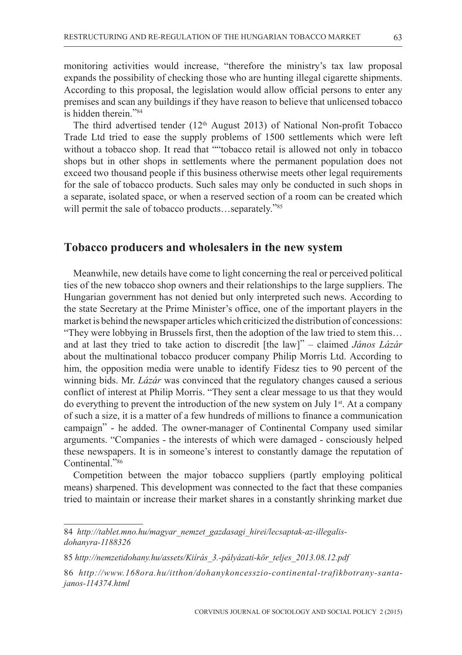monitoring activities would increase, "therefore the ministry's tax law proposal expands the possibility of checking those who are hunting illegal cigarette shipments. According to this proposal, the legislation would allow official persons to enter any premises and scan any buildings if they have reason to believe that unlicensed tobacco is hidden therein."84

The third advertised tender (12<sup>th</sup> August 2013) of National Non-profit Tobacco Trade Ltd tried to ease the supply problems of 1500 settlements which were left without a tobacco shop. It read that ""tobacco retail is allowed not only in tobacco shops but in other shops in settlements where the permanent population does not exceed two thousand people if this business otherwise meets other legal requirements for the sale of tobacco products. Such sales may only be conducted in such shops in a separate, isolated space, or when a reserved section of a room can be created which will permit the sale of tobacco products…separately."<sup>85</sup>

### **Tobacco producers and wholesalers in the new system**

Meanwhile, new details have come to light concerning the real or perceived political ties of the new tobacco shop owners and their relationships to the large suppliers. The Hungarian government has not denied but only interpreted such news. According to the state Secretary at the Prime Minister's office, one of the important players in the market is behind the newspaper articles which criticized the distribution of concessions: "They were lobbying in Brussels first, then the adoption of the law tried to stem this… and at last they tried to take action to discredit [the law]" – claimed *János Lázár* about the multinational tobacco producer company Philip Morris Ltd. According to him, the opposition media were unable to identify Fidesz ties to 90 percent of the winning bids. Mr. *Lázár* was convinced that the regulatory changes caused a serious conflict of interest at Philip Morris. "They sent a clear message to us that they would do everything to prevent the introduction of the new system on July  $1<sup>st</sup>$ . At a company of such a size, it is a matter of a few hundreds of millions to finance a communication campaign" - he added. The owner-manager of Continental Company used similar arguments. "Companies - the interests of which were damaged - consciously helped these newspapers. It is in someone's interest to constantly damage the reputation of Continental."86

Competition between the major tobacco suppliers (partly employing political means) sharpened. This development was connected to the fact that these companies tried to maintain or increase their market shares in a constantly shrinking market due

<sup>84</sup> *http://tablet.mno.hu/magyar\_nemzet\_gazdasagi\_hirei/lecsaptak-az-illegalisdohanyra-1188326*

<sup>85</sup> *http://nemzetidohany.hu/assets/Kiírás\_3.-pályázati-kör\_teljes\_2013.08.12.pdf*

<sup>86</sup> *http://www.168ora.hu/itthon/dohanykoncesszio-continental-trafikbotrany-santajanos-114374.html*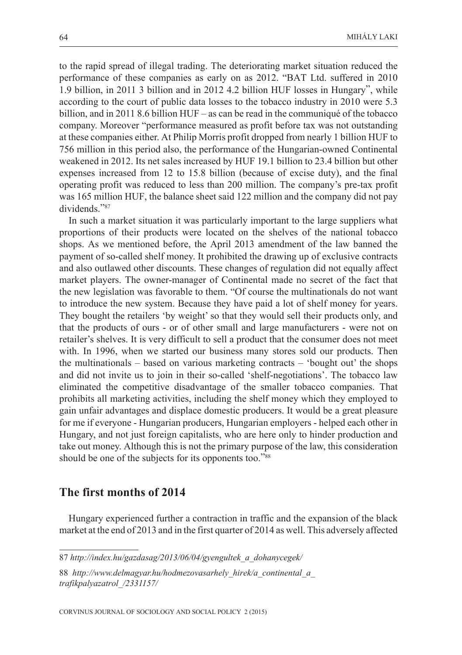to the rapid spread of illegal trading. The deteriorating market situation reduced the performance of these companies as early on as 2012. "BAT Ltd. suffered in 2010 1.9 billion, in 2011 3 billion and in 2012 4.2 billion HUF losses in Hungary", while according to the court of public data losses to the tobacco industry in 2010 were 5.3 billion, and in 2011 8.6 billion HUF – as can be read in the communiqué of the tobacco company. Moreover "performance measured as profit before tax was not outstanding at these companies either. At Philip Morris profit dropped from nearly 1 billion HUF to 756 million in this period also, the performance of the Hungarian-owned Continental weakened in 2012. Its net sales increased by HUF 19.1 billion to 23.4 billion but other expenses increased from 12 to 15.8 billion (because of excise duty), and the final operating profit was reduced to less than 200 million. The company's pre-tax profit was 165 million HUF, the balance sheet said 122 million and the company did not pay dividends."87

In such a market situation it was particularly important to the large suppliers what proportions of their products were located on the shelves of the national tobacco shops. As we mentioned before, the April 2013 amendment of the law banned the payment of so-called shelf money. It prohibited the drawing up of exclusive contracts and also outlawed other discounts. These changes of regulation did not equally affect market players. The owner-manager of Continental made no secret of the fact that the new legislation was favorable to them. "Of course the multinationals do not want to introduce the new system. Because they have paid a lot of shelf money for years. They bought the retailers 'by weight' so that they would sell their products only, and that the products of ours - or of other small and large manufacturers - were not on retailer's shelves. It is very difficult to sell a product that the consumer does not meet with. In 1996, when we started our business many stores sold our products. Then the multinationals – based on various marketing contracts – 'bought out' the shops and did not invite us to join in their so-called 'shelf-negotiations'. The tobacco law eliminated the competitive disadvantage of the smaller tobacco companies. That prohibits all marketing activities, including the shelf money which they employed to gain unfair advantages and displace domestic producers. It would be a great pleasure for me if everyone - Hungarian producers, Hungarian employers - helped each other in Hungary, and not just foreign capitalists, who are here only to hinder production and take out money. Although this is not the primary purpose of the law, this consideration should be one of the subjects for its opponents too."<sup>88</sup>

#### **The first months of 2014**

Hungary experienced further a contraction in traffic and the expansion of the black market at the end of 2013 and in the first quarter of 2014 as well. This adversely affected

CORVINUS JOURNAL OF SOCIOLOGY AND SOCIAL POLICY 2 (2015)

<sup>87</sup> *http://index.hu/gazdasag/2013/06/04/gyengultek\_a\_dohanycegek/*

<sup>88</sup> *http://www.delmagyar.hu/hodmezovasarhely\_hirek/a\_continental\_a\_ trafikpalyazatrol\_/2331157/*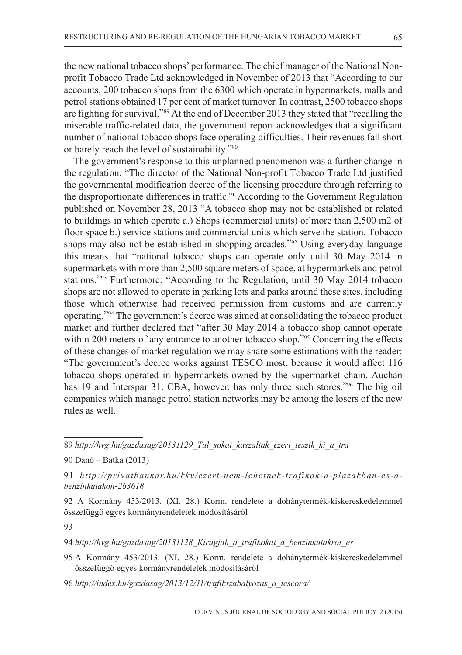the new national tobacco shops' performance. The chief manager of the National Nonprofit Tobacco Trade Ltd acknowledged in November of 2013 that "According to our accounts, 200 tobacco shops from the 6300 which operate in hypermarkets, malls and petrol stations obtained 17 per cent of market turnover. In contrast, 2500 tobacco shops are fighting for survival."<sup>89</sup> At the end of December 2013 they stated that "recalling the miserable traffic-related data, the government report acknowledges that a significant number of national tobacco shops face operating difficulties. Their revenues fall short or barely reach the level of sustainability."90

The government's response to this unplanned phenomenon was a further change in the regulation. "The director of the National Non-profit Tobacco Trade Ltd justified the governmental modification decree of the licensing procedure through referring to the disproportionate differences in traffic.<sup>91</sup> According to the Government Regulation published on November 28, 2013 "A tobacco shop may not be established or related to buildings in which operate a.) Shops (commercial units) of more than 2,500 m2 of floor space b.) service stations and commercial units which serve the station. Tobacco shops may also not be established in shopping arcades."92 Using everyday language this means that "national tobacco shops can operate only until 30 May 2014 in supermarkets with more than 2,500 square meters of space, at hypermarkets and petrol stations."93 Furthermore: "According to the Regulation, until 30 May 2014 tobacco shops are not allowed to operate in parking lots and parks around these sites, including those which otherwise had received permission from customs and are currently operating."94 The government's decree was aimed at consolidating the tobacco product market and further declared that "after 30 May 2014 a tobacco shop cannot operate within 200 meters of any entrance to another tobacco shop."<sup>95</sup> Concerning the effects of these changes of market regulation we may share some estimations with the reader: "The government's decree works against TESCO most, because it would affect 116 tobacco shops operated in hypermarkets owned by the supermarket chain. Auchan has 19 and Interspar 31. CBA, however, has only three such stores."<sup>96</sup> The big oil companies which manage petrol station networks may be among the losers of the new rules as well.

89 *http://hvg.hu/gazdasag/20131129\_Tul\_sokat\_kaszaltak\_ezert\_teszik\_ki\_a\_tra*

90 Danó – Batka (2013)

91 *http://privatbankar.hu/kkv/ezert-nem-lehetnek-trafikok-a-plazakban-es-abenzinkutakon-263618*

92 A Kormány 453/2013. (XI. 28.) Korm. rendelete a dohánytermék-kiskereskedelemmel összefüggő egyes kormányrendeletek módosításáról

93

94 *http://hvg.hu/gazdasag/20131128\_Kirugjak\_a\_trafikokat\_a\_benzinkutakrol\_es*

95 A Kormány 453/2013. (XI. 28.) Korm. rendelete a dohánytermék-kiskereskedelemmel összefüggő egyes kormányrendeletek módosításáról

96 *http://index.hu/gazdasag/2013/12/11/trafikszabalyozas\_a\_tescora/*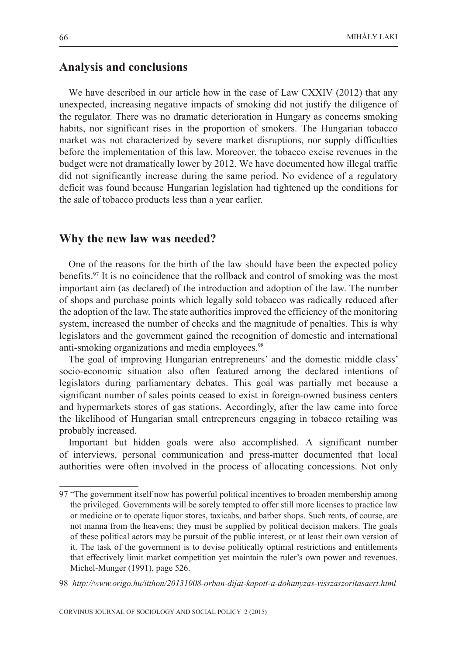## **Analysis and conclusions**

We have described in our article how in the case of Law CXXIV (2012) that any unexpected, increasing negative impacts of smoking did not justify the diligence of the regulator. There was no dramatic deterioration in Hungary as concerns smoking habits, nor significant rises in the proportion of smokers. The Hungarian tobacco market was not characterized by severe market disruptions, nor supply difficulties before the implementation of this law. Moreover, the tobacco excise revenues in the budget were not dramatically lower by 2012. We have documented how illegal traffic did not significantly increase during the same period. No evidence of a regulatory deficit was found because Hungarian legislation had tightened up the conditions for the sale of tobacco products less than a year earlier.

#### **Why the new law was needed?**

One of the reasons for the birth of the law should have been the expected policy benefits.97 It is no coincidence that the rollback and control of smoking was the most important aim (as declared) of the introduction and adoption of the law. The number of shops and purchase points which legally sold tobacco was radically reduced after the adoption of the law. The state authorities improved the efficiency of the monitoring system, increased the number of checks and the magnitude of penalties. This is why legislators and the government gained the recognition of domestic and international anti-smoking organizations and media employees.<sup>98</sup>

The goal of improving Hungarian entrepreneurs' and the domestic middle class' socio-economic situation also often featured among the declared intentions of legislators during parliamentary debates. This goal was partially met because a significant number of sales points ceased to exist in foreign-owned business centers and hypermarkets stores of gas stations. Accordingly, after the law came into force the likelihood of Hungarian small entrepreneurs engaging in tobacco retailing was probably increased.

Important but hidden goals were also accomplished. A significant number of interviews, personal communication and press-matter documented that local authorities were often involved in the process of allocating concessions. Not only

<sup>97 &</sup>quot;The government itself now has powerful political incentives to broaden membership among the privileged. Governments will be sorely tempted to offer still more licenses to practice law or medicine or to operate liquor stores, taxicabs, and barber shops. Such rents, of course, are not manna from the heavens; they must be supplied by political decision makers. The goals of these political actors may be pursuit of the public interest, or at least their own version of it. The task of the government is to devise politically optimal restrictions and entitlements that effectively limit market competition yet maintain the ruler's own power and revenues. Michel-Munger (1991), page 526.

<sup>98</sup> *http://www.origo.hu/itthon/20131008-orban-dijat-kapott-a-dohanyzas-visszaszoritasaert.html*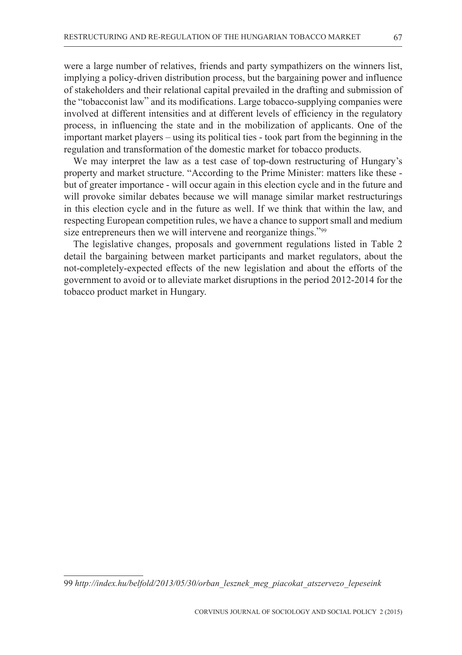regulation and transformation of the domestic market for tobacco products.

were a large number of relatives, friends and party sympathizers on the winners list, implying a policy-driven distribution process, but the bargaining power and influence of stakeholders and their relational capital prevailed in the drafting and submission of the "tobacconist law" and its modifications. Large tobacco-supplying companies were involved at different intensities and at different levels of efficiency in the regulatory process, in influencing the state and in the mobilization of applicants. One of the important market players – using its political ties - took part from the beginning in the

We may interpret the law as a test case of top-down restructuring of Hungary's property and market structure. "According to the Prime Minister: matters like these but of greater importance - will occur again in this election cycle and in the future and will provoke similar debates because we will manage similar market restructurings in this election cycle and in the future as well. If we think that within the law, and respecting European competition rules, we have a chance to support small and medium size entrepreneurs then we will intervene and reorganize things."99

The legislative changes, proposals and government regulations listed in Table 2 detail the bargaining between market participants and market regulators, about the not-completely-expected effects of the new legislation and about the efforts of the government to avoid or to alleviate market disruptions in the period 2012-2014 for the tobacco product market in Hungary.

<sup>99</sup> *http://index.hu/belfold/2013/05/30/orban\_lesznek\_meg\_piacokat\_atszervezo\_lepeseink*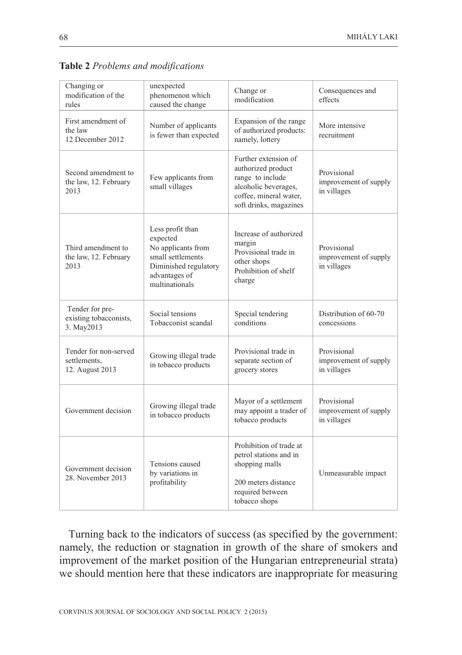Consequences and effects

| rules                                                    | caused the change                                                                                                                   | пючитсаноп                                                                                                                                 | ettects                                             |
|----------------------------------------------------------|-------------------------------------------------------------------------------------------------------------------------------------|--------------------------------------------------------------------------------------------------------------------------------------------|-----------------------------------------------------|
| First amendment of<br>the law<br>12 December 2012        | Number of applicants<br>is fewer than expected                                                                                      | Expansion of the range<br>of authorized products:<br>namely, lottery                                                                       | More intensive<br>recruitment                       |
| Second amendment to<br>the law, 12. February<br>2013     | Few applicants from<br>small villages                                                                                               | Further extension of<br>authorized product<br>range to include<br>alcoholic beverages,<br>coffee, mineral water,<br>soft drinks, magazines | Provisional<br>improvement of supply<br>in villages |
| Third amendment to<br>the law, 12. February<br>2013      | Less profit than<br>expected<br>No applicants from<br>small settlements<br>Diminished regulatory<br>advantages of<br>multinationals | Increase of authorized<br>margin<br>Provisional trade in<br>other shops<br>Prohibition of shelf<br>charge                                  | Provisional<br>improvement of supply<br>in villages |
| Tender for pre-<br>existing tobacconists,<br>3. May2013  | Social tensions<br>Tobacconist scandal                                                                                              | Special tendering<br>conditions                                                                                                            | Distribution of 60-70<br>concessions                |
| Tender for non-served<br>settlements,<br>12. August 2013 | Growing illegal trade<br>in tobacco products                                                                                        | Provisional trade in<br>separate section of<br>grocery stores                                                                              | Provisional<br>improvement of supply<br>in villages |
| Government decision                                      | Growing illegal trade<br>in tobacco products                                                                                        | Mayor of a settlement<br>may appoint a trader of<br>tobacco products                                                                       | Provisional<br>improvement of supply<br>in villages |
| Government decision<br>28. November 2013                 | Tensions caused<br>by variations in<br>profitability                                                                                | Prohibition of trade at<br>petrol stations and in<br>shopping malls<br>200 meters distance<br>required between<br>tobacco shops            | Unmeasurable impact                                 |

Change or modification

**Table 2** *Problems and modifications*

unexpected phenomenon which

namely, the reduction or stagnation in growth of the share of smokers and improvement of the market position of the Hungarian entrepreneurial strata) we should mention here that these indicators are inappropriate for measuring

Changing or modification of the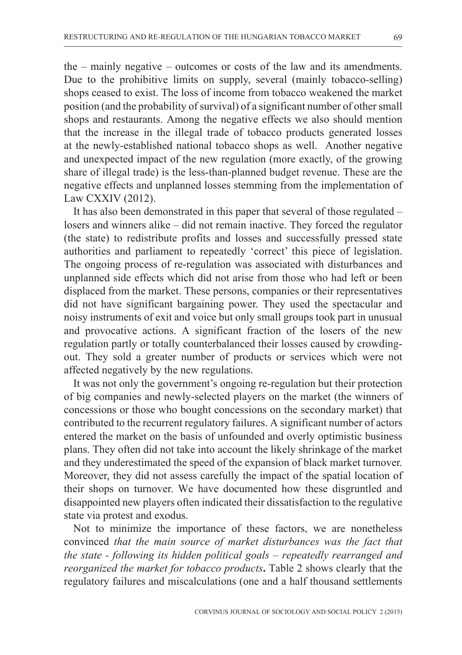the – mainly negative – outcomes or costs of the law and its amendments. Due to the prohibitive limits on supply, several (mainly tobacco-selling) shops ceased to exist. The loss of income from tobacco weakened the market position (and the probability of survival) of a significant number of other small shops and restaurants. Among the negative effects we also should mention that the increase in the illegal trade of tobacco products generated losses at the newly-established national tobacco shops as well. Another negative and unexpected impact of the new regulation (more exactly, of the growing share of illegal trade) is the less-than-planned budget revenue. These are the negative effects and unplanned losses stemming from the implementation of Law CXXIV (2012).

It has also been demonstrated in this paper that several of those regulated – losers and winners alike – did not remain inactive. They forced the regulator (the state) to redistribute profits and losses and successfully pressed state authorities and parliament to repeatedly 'correct' this piece of legislation. The ongoing process of re-regulation was associated with disturbances and unplanned side effects which did not arise from those who had left or been displaced from the market. These persons, companies or their representatives did not have significant bargaining power. They used the spectacular and noisy instruments of exit and voice but only small groups took part in unusual and provocative actions. A significant fraction of the losers of the new regulation partly or totally counterbalanced their losses caused by crowdingout. They sold a greater number of products or services which were not affected negatively by the new regulations.

It was not only the government's ongoing re-regulation but their protection of big companies and newly-selected players on the market (the winners of concessions or those who bought concessions on the secondary market) that contributed to the recurrent regulatory failures. A significant number of actors entered the market on the basis of unfounded and overly optimistic business plans. They often did not take into account the likely shrinkage of the market and they underestimated the speed of the expansion of black market turnover. Moreover, they did not assess carefully the impact of the spatial location of their shops on turnover. We have documented how these disgruntled and disappointed new players often indicated their dissatisfaction to the regulative state via protest and exodus.

Not to minimize the importance of these factors, we are nonetheless convinced *that the main source of market disturbances was the fact that the state - following its hidden political goals – repeatedly rearranged and reorganized the market for tobacco products***.** Table 2 shows clearly that the regulatory failures and miscalculations (one and a half thousand settlements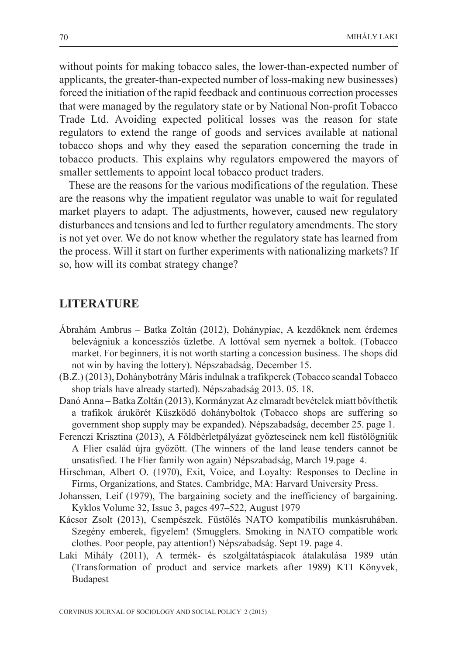without points for making tobacco sales, the lower-than-expected number of applicants, the greater-than-expected number of loss-making new businesses) forced the initiation of the rapid feedback and continuous correction processes that were managed by the regulatory state or by National Non-profit Tobacco Trade Ltd. Avoiding expected political losses was the reason for state regulators to extend the range of goods and services available at national tobacco shops and why they eased the separation concerning the trade in tobacco products. This explains why regulators empowered the mayors of smaller settlements to appoint local tobacco product traders.

These are the reasons for the various modifications of the regulation. These are the reasons why the impatient regulator was unable to wait for regulated market players to adapt. The adjustments, however, caused new regulatory disturbances and tensions and led to further regulatory amendments. The story is not yet over. We do not know whether the regulatory state has learned from the process. Will it start on further experiments with nationalizing markets? If so, how will its combat strategy change?

#### **LITERATURE**

- Ábrahám Ambrus Batka Zoltán (2012), Dohánypiac, A kezdőknek nem érdemes belevágniuk a koncessziós üzletbe. A lottóval sem nyernek a boltok. (Tobacco market. For beginners, it is not worth starting a concession business. The shops did not win by having the lottery). Népszabadság, December 15.
- (B.Z.) (2013), Dohánybotrány Máris indulnak a trafikperek (Tobacco scandal Tobacco shop trials have already started). Népszabadság 2013. 05. 18.
- Danó Anna Batka Zoltán (2013), Kormányzat Az elmaradt bevételek miatt bővíthetik a trafikok árukörét Küszködő dohányboltok (Tobacco shops are suffering so government shop supply may be expanded). Népszabadság, december 25. page 1.
- Ferenczi Krisztina (2013), A Földbérletpályázat győzteseinek nem kell füstölögniük A Flier család újra győzött. (The winners of the land lease tenders cannot be unsatisfied. The Flier family won again) Népszabadság, March 19.page 4.
- Hirschman, Albert O. (1970), Exit, Voice, and Loyalty: Responses to Decline in Firms, Organizations, and States. Cambridge, MA: Harvard University Press.
- Johanssen, Leif (1979), The bargaining society and the inefficiency of bargaining. Kyklos Volume 32, Issue 3, pages 497–522, August 1979
- Kácsor Zsolt (2013), Csempészek. Füstölés NATO kompatibilis munkásruhában. Szegény emberek, figyelem! (Smugglers. Smoking in NATO compatible work clothes. Poor people, pay attention!) Népszabadság. Sept 19. page 4.
- Laki Mihály (2011), A termék- és szolgáltatáspiacok átalakulása 1989 után (Transformation of product and service markets after 1989) KTI Könyvek, Budapest